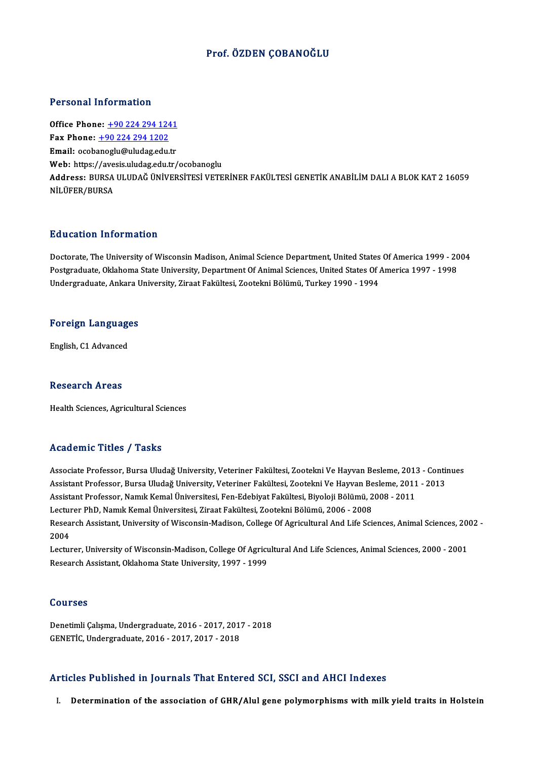### Prof. ÖZDEN ÇOBANOĞLU

#### Personal Information

**Personal Information<br>Office Phone: +90 224 294 1241<br>Fax Phone: +90 224 294 1202** 1 0100111 11101 1111011<br>Office Phone: <u>+90 224 294 124</u><br>Fax Phone: <u>+90 224 294 1202</u> Office Phone: <u>+90 224 294 1241</u><br>Fax Phone: <u>+90 224 294 1202</u><br>Email: ocob[anoglu@uludag.edu](tel:+90 224 294 1202)[.tr](tel:+90 224 294 1241) Fax Phone:  $\pm$ 90 224 294 1202<br>Email: ocobanoglu@uludag.edu.tr<br>Web: https://avesis.uludag.edu.tr/ocobanoglu Email: ocobanoglu@uludag.edu.tr<br>Web: https://avesis.uludag.edu.tr/ocobanoglu<br>Address: BURSA ULUDAĞ ÜNİVERSİTESİ VETERİNER FAKÜLTESİ GENETİK ANABİLİM DALI A BLOK KAT 2 16059<br>Nil üEER/RURSA Web: https://ave<br>Address: BURSA<br>NİLÜFER/BURSA NILÜFER/BURSA<br>Education Information

Education Information<br>Doctorate, The University of Wisconsin Madison, Animal Science Department, United States Of America 1999 - 2004<br>Postareduate Oklahoma State University, Department Of Animal Sciences United States Of A Putroaces Internation<br>Doctorate, The University of Wisconsin Madison, Animal Science Department, United States Of America 1999 - 20<br>Postgraduate, Oklahoma State University, Department Of Animal Sciences, United States Of A Doctorate, The University of Wisconsin Madison, Animal Science Department, United States<br>Postgraduate, Oklahoma State University, Department Of Animal Sciences, United States Of *i*<br>Undergraduate, Ankara University, Ziraat

# <sub>Undergraduate, Ankara t<br>Foreign Languages</sub> <mark>Foreign Languag</mark><br>English, C1 Advanced

English, C1 Advanced<br>Research Areas

Health Sciences, Agricultural Sciences

### Academic Titles / Tasks

Academic Titles / Tasks<br>Associate Professor, Bursa Uludağ University, Veteriner Fakültesi, Zootekni Ve Hayvan Besleme, 2013 - Continues<br>Assistant Professor, Bursa Uludağ University, Veteriner Fakültesi, Zootekni Ve Hayvan Associate Professor, Bursa Uludağ University, Veteriner Fakültesi, Zootekni Ve Hayvan Besleme, 2013 - Contin<br>Assistant Professor, Bursa Uludağ University, Veteriner Fakültesi, Zootekni Ve Hayvan Besleme, 2011 - 2013<br>Assist Associate Professor, Bursa Uludağ University, Veteriner Fakültesi, Zootekni Ve Hayvan Besleme, 2013<br>Assistant Professor, Bursa Uludağ University, Veteriner Fakültesi, Zootekni Ve Hayvan Besleme, 2011<br>Assistant Professor, N Assistant Professor, Bursa Uludağ University, Veteriner Fakültesi, Zootekni Ve Hayvan Be<br>Assistant Professor, Namık Kemal Üniversitesi, Fen-Edebiyat Fakültesi, Biyoloji Bölümü, 2<br>Lecturer PhD, Namık Kemal Üniversitesi, Zir Research Assistant, University of Wisconsin-Madison, College Of Agricultural And Life Sciences, Animal Sciences, 2002 -<br>2004 Lecturer PhD, Namık Kemal Üniversitesi, Ziraat Fakültesi, Zootekni Bölümü, 2006 - 2008 Research Assistant, University of Wisconsin-Madison, College Of Agricultural And Life Sciences, Animal Sciences, 200<br>2004<br>Lecturer, University of Wisconsin-Madison, College Of Agricultural And Life Sciences, Animal Science

2004<br>Lecturer, University of Wisconsin-Madison, College Of Agricu<br>Research Assistant, Oklahoma State University, 1997 - 1999 Research Assistant, Oklahoma State University, 1997 - 1999<br>Courses

**Courses<br>Denetimli Çalışma, Undergraduate, 2016 - 2017, 2017 - 2018<br>CENETİC Undergraduate, 2016 - 2017, 2017, 2019** GGG1388<br>Denetimli Çalışma, Undergraduate, 2016 - 2017, 201<br>GENETİC, Undergraduate, 2016 - 2017, 2017 - 2018

# GENETIC, Undergraduate, 2016 - 2017, 2017 - 2018<br>Articles Published in Journals That Entered SCI, SSCI and AHCI Indexes

I. Determination of the association of GHR/Alul gene polymorphisms with milk yield traits in Holstein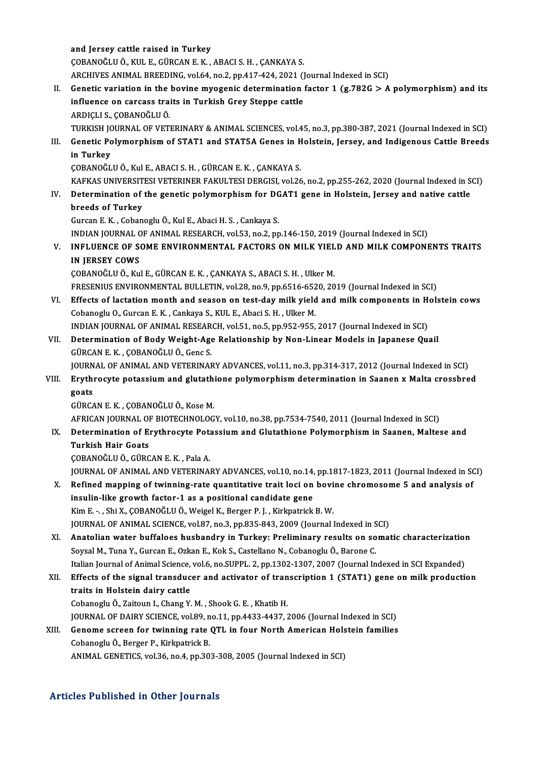and Jersey cattle raised in Turkey ÇOBANOĞLUÖ.,KUL E.,GÜRCANE.K. ,ABACI S.H. ,ÇANKAYAS. ARCHIVES ANIMAL BREEDING, vol.64, no.2, pp.417-424, 2021 (Journal Indexed in SCI) COBANOĞLU Ö., KUL E., GÜRCAN E. K. , ABACI S. H. , CANKAYA S.<br>ARCHIVES ANIMAL BREEDING, vol.64, no.2, pp.417-424, 2021 (Journal Indexed in SCI)<br>II. Genetic variation in the bovine myogenic determination factor 1 (g.782G > ARCHIVES ANIMAL BREEDING, vol.64, no.2, pp.417-424, 2021 ()<br>Genetic variation in the bovine myogenic determination<br>influence on carcass traits in Turkish Grey Steppe cattle<br>APDICLLS COPANOČLLIÖ **Genetic variation in the<br>influence on carcass tra<br>ARDIÇLI S., ÇOBANOĞLU Ö.<br>TURKISH JOURNAL OF VET** influence on carcass traits in Turkish Grey Steppe cattle<br>ARDIÇLI S., ÇOBANOĞLU Ö.<br>TURKISH JOURNAL OF VETERINARY & ANIMAL SCIENCES, vol.45, no.3, pp.380-387, 2021 (Journal Indexed in SCI)<br>Constis Bolymornhism of STAT1 and ARDIÇLI S., ÇOBANOĞLU Ö.<br>TURKISH JOURNAL OF VETERINARY & ANIMAL SCIENCES, vol.45, no.3, pp.380-387, 2021 (Journal Indexed in SCI)<br>III. Genetic Polymorphism of STAT1 and STAT5A Genes in Holstein, Jersey, and Indigenous TURKISH JC<br>Genetic Po<br>in Turkey<br>CORANOČI ÇOBANOĞLUÖ.,KulE.,ABACI S.H. ,GÜRCANE.K. ,ÇANKAYAS. i<mark>n Turkey</mark><br>ÇOBANOĞLU Ö., Kul E., ABACI S. H. , GÜRCAN E. K. , ÇANKAYA S.<br>KAFKAS UNIVERSITESI VETERINER FAKULTESI DERGISI, vol.26, no.2, pp.255-262, 2020 (Journal Indexed in SCI)<br>Determination of the senetis polymorphism f COBANOĞLU Ö., Kul E., ABACI S. H. , GÜRCAN E. K. , ÇANKAYA S.<br>KAFKAS UNIVERSITESI VETERINER FAKULTESI DERGISI, vol.26, no.2, pp.255-262, 2020 (Journal Indexed in S<br>IV. Determination of the genetic polymorphism for DGAT KAFKAS UNIVERSIT<br>Determination of<br>breeds of Turkey IV. Determination of the genetic polymorphism for DGAT1 gene in Holstein, Jersey and native cattle<br>breeds of Turkey<br>Gurcan E.K., Cobanoglu Ö., Kul E., Abaci H. S., Cankaya S. breeds of Turkey<br>Gurcan E. K. , Cobanoglu Ö., Kul E., Abaci H. S. , Cankaya S.<br>INDIAN JOURNAL OF ANIMAL RESEARCH, vol.53, no.2, pp.146-150, 2019 (Journal Indexed in SCI)<br>INELUENCE OF SOME ENVURONMENTAL EACTORS ON MILLY VIE Gurcan E. K. , Cobanoglu Ö., Kul E., Abaci H. S. , Cankaya S.<br>INDIAN JOURNAL OF ANIMAL RESEARCH, vol.53, no.2, pp.146-150, 2019 (Journal Indexed in SCI)<br>V. INFLUENCE OF SOME ENVIRONMENTAL FACTORS ON MILK YIELD AND MILK COM INDIAN JOURNAL C<br>I<mark>NFLUENCE OF S</mark>ON<br>IN JERSEY COWS<br>CORANOČIJI Ö. KV INFLUENCE OF SOME ENVIRONMENTAL FACTORS ON MILK YIEL<br>IN JERSEY COWS<br>ÇOBANOĞLU Ö., Kul E., GÜRCAN E. K. , ÇANKAYA S., ABACI S. H. , Ulker M.<br>ERESENIUS ENVIRONMENTAL BULLETIN 112.38. R. 9. D.R 6516, 6529, 20 IN JERSEY COWS<br>ÇOBANOĞLU Ö., Kul E., GÜRCAN E. K. , ÇANKAYA S., ABACI S. H. , Ulker M.<br>FRESENIUS ENVIRONMENTAL BULLETIN, vol.28, no.9, pp.6516-6520, 2019 (Journal Indexed in SCI)<br>Fffects of lastation month and sesson on te COBANOĞLU Ö., Kul E., GÜRCAN E. K. , ÇANKAYA S., ABACI S. H. , Ulker M.<br>FRESENIUS ENVIRONMENTAL BULLETIN, vol.28, no.9, pp.6516-6520, 2019 (Journal Indexed in SCI)<br>VI. Effects of lactation month and season on test-day milk FRESENIUS ENVIRONMENTAL BULLETIN, vol.28, no.9, pp.6516-652<br>Effects of lactation month and season on test-day milk yield<br>Cobanoglu O., Gurcan E. K. , Cankaya S., KUL E., Abaci S. H. , Ulker M.<br>INDIAN JOUPNAL OF ANIMAL PESE Effects of lactation month and season on test-day milk yield and milk components in H<br>Cobanoglu O., Gurcan E. K. , Cankaya S., KUL E., Abaci S. H. , Ulker M.<br>INDIAN JOURNAL OF ANIMAL RESEARCH, vol.51, no.5, pp.952-955, 201 Cobanoglu O., Gurcan E. K. , Cankaya S., KUL E., Abaci S. H. , Ulker M.<br>INDIAN JOURNAL OF ANIMAL RESEARCH, vol.51, no.5, pp.952-955, 2017 (Journal Indexed in SCI)<br>VII. Determination of Body Weight-Age Relationship by Non-L INDIAN JOURNAL OF ANIMAL RESEAR<br>Determination of Body Weight-Age<br>GÜRCAN E. K. , ÇOBANOĞLU Ö., Genc S.<br>JOURNAL OF ANIMAL AND VETERINAL Determination of Body Weight-Age Relationship by Non-Linear Models in Japanese Quail<br>GÜRCAN E. K. , ÇOBANOĞLU Ö., Genc S.<br>JOURNAL OF ANIMAL AND VETERINARY ADVANCES, vol.11, no.3, pp.314-317, 2012 (Journal Indexed in SCI)<br>E GÜRCAN E. K. , ÇOBANOĞLU Ö., Genc S.<br>JOURNAL OF ANIMAL AND VETERINARY ADVANCES, vol.11, no.3, pp.314-317, 2012 (Journal Indexed in SCI)<br>VIII. Erythrocyte potassium and glutathione polymorphism determination in Saanen x JOURN<br><mark>Eryth</mark>i<br>goats<br>CÜPC4 Erythrocyte potassium and glutathi<br>goats<br>GÜRCAN E. K. , ÇOBANOĞLU Ö., Kose M.<br>AERICAN IQURNAL OF PIOTECHNOLOC goats<br>GÜRCAN E. K. , ÇOBANOĞLU Ö., Kose M.<br>AFRICAN JOURNAL OF BIOTECHNOLOGY, vol.10, no.38, pp.7534-7540, 2011 (Journal Indexed in SCI)<br>Determination of Eruthroeute Petessium and Clutathione Pelumernhism in Seanen, Meltes GÜRCAN E. K. , ÇOBANOĞLU Ö., Kose M.<br>AFRICAN JOURNAL OF BIOTECHNOLOGY, vol.10, no.38, pp.7534-7540, 2011 (Journal Indexed in SCI)<br>IX. Determination of Erythrocyte Potassium and Glutathione Polymorphism in Saanen, Malte AFRICAN JOURNAL OF<br>Determination of Experience<br>Turkish Hair Goats<br>CORANOČI U Ö-CÜRC ÇOBANOĞLUÖ.,GÜRCANE.K. ,PalaA. Turkish Hair Goats<br>ÇOBANOĞLU Ö., GÜRCAN E. K. , Pala A.<br>JOURNAL OF ANIMAL AND VETERINARY ADVANCES, vol.10, no.14, pp.1817-1823, 2011 (Journal Indexed in SCI)<br>Refined manning of twinning nate quantitative trait logi on hovi COBANOĞLU Ö., GÜRCAN E. K. , Pala A.<br>JOURNAL OF ANIMAL AND VETERINARY ADVANCES, vol.10, no.14, pp.1817-1823, 2011 (Journal Indexed in SO.<br>X. Refined mapping of twinning-rate quantitative trait loci on bovine chromosome 5 a JOURNAL OF ANIMAL AND VETERINARY ADVANCES, vol.10, no.14,<br>Refined mapping of twinning-rate quantitative trait loci on<br>insulin-like growth factor-1 as a positional candidate gene<br>kim E – Shi Y CORANOČLU Ö. Weigel K. Berger X. Refined mapping of twinning-rate quantitative trait loci on bovine chromosome 5 and analysis of insulin-like growth factor-1 as a positional candidate gene<br>Kim E. - , Shi X., ÇOBANOĞLUÖ., Weigel K., Berger P. J. , Kirkp JOURNAL OF ANIMAL SCIENCE, vol.87, no.3, pp.835-843, 2009 (Journal Indexed in SCI) Kim E. - , Shi X., ÇOBANOĞLU Ö., Weigel K., Berger P. J. , Kirkpatrick B. W.<br>JOURNAL OF ANIMAL SCIENCE, vol.87, no.3, pp.835-843, 2009 (Journal Indexed in SCI)<br>XI. Anatolian water buffaloes husbandry in Turkey: Preliminary JOURNAL OF ANIMAL SCIENCE, vol.87, no.3, pp.835-843, 2009 (Journal Indexed in S<br>Anatolian water buffaloes husbandry in Turkey: Preliminary results on so<br>Soysal M., Tuna Y., Gurcan E., Ozkan E., Kok S., Castellano N., Coban Anatolian water buffaloes husbandry in Turkey: Preliminary results on somatic characterization<br>Soysal M., Tuna Y., Gurcan E., Ozkan E., Kok S., Castellano N., Cobanoglu Ö., Barone C.<br>Italian Journal of Animal Science, vol. Soysal M., Tuna Y., Gurcan E., Ozkan E., Kok S., Castellano N., Cobanoglu Ö., Barone C.<br>Italian Journal of Animal Science, vol.6, no.SUPPL. 2, pp.1302-1307, 2007 (Journal Indexed in SCI Expanded)<br>XII. Effects of the signal Italian Journal of Animal Science,<br>Effects of the signal transduc<br>traits in Holstein dairy cattle<br>Cebanegly Ö. Zeiteun L. Chang V. Effects of the signal transducer and activator of tran<br>traits in Holstein dairy cattle<br>Cobanoglu Ö., Zaitoun I., Chang Y. M. , Shook G. E. , Khatib H.<br>JOUPMAL OF DAIRY SCIENCE vol 80, no 11, np 4422, 4427, 1 traits in Holstein dairy cattle<br>Cobanoglu Ö., Zaitoun I., Chang Y. M. , Shook G. E. , Khatib H.<br>JOURNAL OF DAIRY SCIENCE, vol.89, no.11, pp.4433-4437, 2006 (Journal Indexed in SCI)<br>Conome sereen for twinning rate OTL in fo Cobanoglu Ö., Zaitoun I., Chang Y. M. , Shook G. E. , Khatib H.<br>JOURNAL OF DAIRY SCIENCE, vol.89, no.11, pp.4433-4437, 2006 (Journal Indexed in SCI)<br>XIII. Genome screen for twinning rate QTL in four North American Holstein JOURNAL OF DAIRY SCIENCE, vol.89, n<br>Genome screen for twinning rate<br>Cobanoglu Ö., Berger P., Kirkpatrick B.<br>ANIMAL CENETICS vol.26, no.4, np.30. Genome screen for twinning rate QTL in four North American Hols<br>Cobanoglu Ö., Berger P., Kirkpatrick B.<br>ANIMAL GENETICS, vol.36, no.4, pp.303-308, 2005 (Journal Indexed in SCI) ANIMAL GENETICS, vol.36, no.4, pp.303-308, 2005 (Journal Indexed in SCI)<br>Articles Published in Other Journals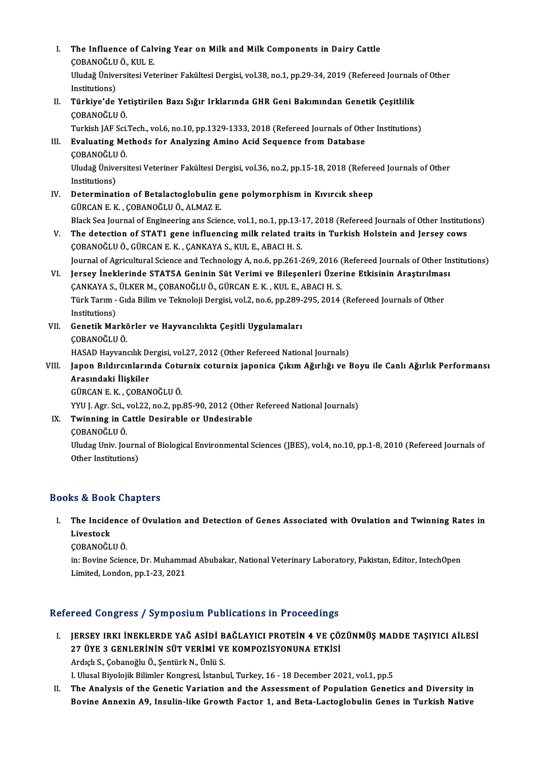| L     | The Influence of Calving Year on Milk and Milk Components in Dairy Cattle<br>ÇOBANOĞLU Ö., KUL E.                          |
|-------|----------------------------------------------------------------------------------------------------------------------------|
|       | Uludağ Üniversitesi Veteriner Fakültesi Dergisi, vol.38, no.1, pp.29-34, 2019 (Refereed Journals of Other<br>Institutions) |
| Н.    | Türkiye'de Yetiştirilen Bazı Sığır Irklarında GHR Geni Bakımından Genetik Çeşitlilik<br>ÇOBANOĞLU Ö.                       |
|       | Turkish JAF Sci.Tech., vol.6, no.10, pp.1329-1333, 2018 (Refereed Journals of Other Institutions)                          |
| III.  | Evaluating Methods for Analyzing Amino Acid Sequence from Database<br><b>COBANOĞLU Ö</b>                                   |
|       | Uludağ Üniversitesi Veteriner Fakültesi Dergisi, vol.36, no.2, pp.15-18, 2018 (Refereed Journals of Other<br>Institutions) |
| IV.   | Determination of Betalactoglobulin gene polymorphism in Kıvırcık sheep                                                     |
|       | GÜRCAN E.K., ÇOBANOĞLU Ö., ALMAZ E.                                                                                        |
|       | Black Sea Journal of Engineering ans Science, vol.1, no.1, pp.13-17, 2018 (Refereed Journals of Other Institutions)        |
| V.    | The detection of STAT1 gene influencing milk related traits in Turkish Holstein and Jersey cows                            |
|       | ÇOBANOĞLU Ö., GÜRCAN E. K., ÇANKAYA S., KUL E., ABACI H. S.                                                                |
|       | Journal of Agricultural Science and Technology A, no.6, pp.261-269, 2016 (Refereed Journals of Other Institutions)         |
| VI.   | Jersey İneklerinde STAT5A Geninin Süt Verimi ve Bileşenleri Üzerine Etkisinin Araştırılması                                |
|       | ÇANKAYA S., ÜLKER M., ÇOBANOĞLU Ö., GÜRCAN E. K., KUL E., ABACI H. S.                                                      |
|       | Türk Tarım - Gıda Bilim ve Teknoloji Dergisi, vol.2, no.6, pp.289-295, 2014 (Refereed Journals of Other<br>Institutions)   |
| VII.  | Genetik Markörler ve Hayvancılıkta Çeşitli Uygulamaları                                                                    |
|       | ÇOBANOĞLU Ö.                                                                                                               |
|       | HASAD Hayvancılık Dergisi, vol.27, 2012 (Other Refereed National Journals)                                                 |
| VIII. | Japon Bıldırcınlarında Coturnix coturnix japonica Çıkım Ağırlığı ve Boyu ile Canlı Ağırlık Performansı                     |
|       | Arasındaki İlişkiler                                                                                                       |
|       | GÜRCAN E. K., ÇOBANOĞLU Ö.                                                                                                 |
|       | YYU J. Agr. Sci., vol.22, no.2, pp.85-90, 2012 (Other Refereed National Journals)                                          |
| IX    | Twinning in Cattle Desirable or Undesirable                                                                                |
|       | ÇOBANOĞLU Ö.                                                                                                               |
|       | Uludag Univ. Journal of Biological Environmental Sciences (JBES), vol.4, no.10, pp.1-8, 2010 (Refereed Journals of         |
|       | Other Institutions)                                                                                                        |
|       |                                                                                                                            |

### Books&Book Chapters

ooks & Book Chapters<br>I. The Incidence of Ovulation and Detection of Genes Associated with Ovulation and Twinning Rates in<br>I ivestask The Incide<br>Livestock<br>CORANOČL The Incidence<br>Livestock<br>ÇOBANOĞLU Ö.<br>in: Povine Scien

Li**vestock**<br>ÇOBANOĞLU Ö.<br>in: Bovine Science, Dr. Muhammad Abubakar, National Veterinary Laboratory, Pakistan, Editor, IntechOpen<br>Limited, Londen, pp.1, 22, 2021 ÇOBANOĞLU Ö.<br>in: Bovine Science, Dr. Muhamm<br>Limited, London, pp.1-23, 2021

# Limited, London, pp.1-23, 2021<br>Refereed Congress / Symposium Publications in Proceedings

- efereed Congress / Symposium Publications in Proceedings<br>I. JERSEY IRKI İNEKLERDE YAĞ ASİDİ BAĞLAYICI PROTEİN 4 VE ÇÖZÜNMÜŞ MADDE TAŞIYICI AİLESİ<br>27 ÜYE 3 CENLERININ SÜT VERIMİ VE KOMPOZISYONUNA ETKİSİ 200 döngi össey oymposium i ustrodusing in i toccounigs<br>JERSEY IRKI İNEKLERDE YAĞ ASİDİ BAĞLAYICI PROTEİN 4 VE ÇÖ:<br>27 ÜYE 3 GENLERİNİN SÜT VERİMİ VE KOMPOZİSYONUNA ETKİSİ JERSEY IRKI İNEKLERDE YAĞ ASİDİ B<br>27 ÜYE 3 GENLERİNİN SÜT VERİMİ VI<br>Ardıçlı S., Çobanoğlu Ö., Şentürk N., Ünlü S.<br>Lillusal Biyaleijl: Bilimlar Kangresi, İstanb 27 ÜYE 3 GENLERİNİN SÜT VERİMİ VE KOMPOZİSYONUNA ETKİSİ<br>Ardıçlı S., Çobanoğlu Ö., Şentürk N., Ünlü S.<br>I. Ulusal Biyolojik Bilimler Kongresi, İstanbul, Turkey, 16 - 18 December 2021, vol.1, pp.5 Ardıçlı S., Çobanoğlu Ö., Şentürk N., Ünlü S.<br>I. Ulusal Biyolojik Bilimler Kongresi, İstanbul, Turkey, 16 - 18 December 2021, vol.1, pp.5<br>II. The Analysis of the Genetic Variation and the Assessment of Population Genet
- I. Ulusal Biyolojik Bilimler Kongresi, İstanbul, Turkey, 16 18 December 2021, vol.1, pp.5<br>The Analysis of the Genetic Variation and the Assessment of Population Genetics and Diversity in<br>Bovine Annexin A9, Insulin-like G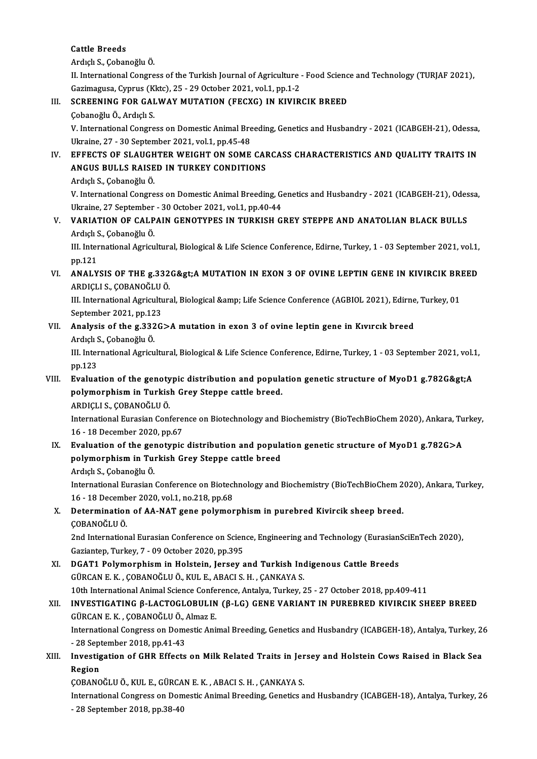#### Cattle Breeds

ArdıçlıS.,ÇobanoğluÖ.

II. International Congress of the Turkish Journal of Agriculture - Food Science and Technology (TURJAF 2021), Ardıçlı S., Çobanoğlu Ö.<br>II. International Congress of the Turkish Journal of Agriculture ·<br>Gazimagusa, Cyprus (Kktc), 25 - 29 October 2021, vol.1, pp.1-2<br>SCREENING FOR GALWAY MUTATION (EECYC), IN KIVIR

# III. SCREENING FOR GALWAY MUTATION (FECXG) IN KIVIRCIK BREED<br>Cobanoğlu Ö., Ardıçlı S. Gazimagusa, Cyprus (K<br>SCREENING FOR GAI<br>Çobanoğlu Ö., Ardıçlı S.<br>V. International Cenere

SCREENING FOR GALWAY MUTATION (FECXG) IN KIVIRCIK BREED<br>Çobanoğlu Ö., Ardıçlı S.<br>V. International Congress on Domestic Animal Breeding, Genetics and Husbandry - 2021 (ICABGEH-21), Odessa,<br>Ultraine 27, 20 Sentember 2021, ve Çobanoğlu Ö., Ardıçlı S.<br>V. International Congress on Domestic Animal Bre<br>Ukraine, 27 - 30 September 2021, vol.1, pp.45-48<br>EEEECTS OF SLAUCHTER WELCHT ON SOME V. International Congress on Domestic Animal Breeding, Genetics and Husbandry - 2021 (ICABGEH-21), Odessa,<br>Ukraine, 27 - 30 September 2021, vol.1, pp.45-48<br>IV. EFFECTS OF SLAUGHTER WEIGHT ON SOME CARCASS CHARACTERISTICS AN

## Ukraine, 27 - 30 September 2021, vol.1, pp.45-48<br>EFFECTS OF SLAUGHTER WEIGHT ON SOME CAI<br>ANGUS BULLS RAISED IN TURKEY CONDITIONS EFFECTS OF SLAUGH<br>ANGUS BULLS RAISE<br>Ardıçlı S., Çobanoğlu Ö.<br>V. International Congre ANGUS BULLS RAISED IN TURKEY CONDITIONS<br>Ardıçlı S., Çobanoğlu Ö.<br>V. International Congress on Domestic Animal Breeding, Genetics and Husbandry - 2021 (ICABGEH-21), Odessa,

Ardıçlı S., Çobanoğlu Ö.<br>V. International Congress on Domestic Animal Breeding, G.<br>Ukraine, 27 September - 30 October 2021, vol.1, pp.40-44<br>VARIATION OF CALRAIN CENOTYPES IN TURKISH C

## V. VARIATION OF CALPAIN GENOTYPES IN TURKISH GREY STEPPE AND ANATOLIAN BLACK BULLS Ukraine, 27 September<br>VARIATION OF CALP<br>Ardıçlı S., Çobanoğlu Ö.<br>III. International Agrim Ardıçlı S., Çobanoğlu Ö.

III. International Agricultural, Biological & Life Science Conference, Edirne, Turkey, 1 - 03 September 2021, vol.1, pp. 121

## VI. ANALYSIS OF THE g.332G>A MUTATION IN EXON 3 OF OVINE LEPTIN GENE IN KIVIRCIK BREED ARDIÇLI S.,ÇOBANOĞLUÖ. ANALYSIS OF THE g.332G>A MUTATION IN EXON 3 OF OVINE LEPTIN GENE IN KIVIRCIK BRI<br>ARDIÇLI S., ÇOBANOĞLU Ö.<br>III. International Agricultural, Biological &amp; Life Science Conference (AGBIOL 2021), Edirne, Turkey, 01<br>Santa

ARDIÇLI S., ÇOBANOĞLU<br>III. International Agricultu<br>September 2021, pp.123<br>Analysis of the 5.3336 III. International Agricultural, Biological & Life Science Conference (AGBIOL 2021), Edirne<br>September 2021, pp.123<br>VII. Analysis of the g.332G>A mutation in exon 3 of ovine leptin gene in Kıvırcık breed<br>Ardıclı S. Coba

# September 2021, pp.12<br>**Analysis of the g.332**<br>Ardıçlı S., Çobanoğlu Ö.<br>III. International Arriqu

VII. Analysis of the g.332G>A mutation in exon 3 of ovine leptin gene in Kıvırcık breed<br>Ardıçlı S., Çobanoğlu Ö.<br>III. International Agricultural, Biological & Life Science Conference, Edirne, Turkey, 1 - 03 September 2021, Ardıçlı S<br>III. Inter<br>pp.123<br>Evaluai III. International Agricultural, Biological & Life Science Conference, Edirne, Turkey, 1 - 03 September 2021, vol.<br>
pp.123<br>
VIII. Evaluation of the genotypic distribution and population genetic structure of MyoD1 g.782G&gt

# pp.123<br>Evaluation of the genotypic distribution and popula<br>polymorphism in Turkish Grey Steppe cattle breed.<br>ARDICUS CORANOČULÖ Evaluation of the genoty<br>polymorphism in Turkis<br>ARDIÇLI S., ÇOBANOĞLU Ö.<br>International Eurasian Cont

polymorphism in Turkish Grey Steppe cattle breed.<br>ARDIÇLI S., ÇOBANOĞLU Ö.<br>International Eurasian Conference on Biotechnology and Biochemistry (BioTechBioChem 2020), Ankara, Turkey,<br>16, 18 Desember 2020, pp.67. ARDIÇLI S., ÇOBANOĞLU Ö.<br>International Eurasian Confere<br>16 - 18 December 2020, pp.67<br>Evaluation of the senaturia International Eurasian Conference on Biotechnology and Biochemistry (BioTechBioChem 2020), Ankara, Tu<br>16 - 18 December 2020, pp.67<br>IX. Evaluation of the genotypic distribution and population genetic structure of MyoD1 g.78

# 16 - 18 December 2020, pp.67<br>Evaluation of the genotypic distribution and popular<br>polymorphism in Turkish Grey Steppe cattle breed<br>Ardish S. Cobaneğlu Ö Evaluation of the ge<mark>r</mark><br>polymorphism in Tui<br>Ardıçlı S., Çobanoğlu Ö.<br>International Eurogian

polymorphism in Turkish Grey Steppe cattle breed<br>Ardıçlı S., Çobanoğlu Ö.<br>International Eurasian Conference on Biotechnology and Biochemistry (BioTechBioChem 2020), Ankara, Turkey,<br>16, 18 Desember 2020, vol.1, no.218, np.6 Ardıçlı S., Çobanoğlu Ö.<br>International Eurasian Conference on Biotecl<br>16 - 18 December 2020, vol.1, no.218, pp.68<br>Petermination of AA NAT 5000 polymon 16 - 18 December 2020, vol 1, no 218, pp.68

# X. Determination of AA-NAT gene polymorphismin purebred Kivircik sheep breed. Determination of AA-NAT gene polymorphism in purebred Kivircik sheep breed.<br>ÇOBANOĞLU Ö.<br>2nd International Eurasian Conference on Science, Engineering and Technology (EurasianSciEnTech 2020),<br>Carianten Turkey 7, .09 Octobe

ÇOBANOĞLU Ö.<br>2nd International Eurasian Conference on Scien<br>Gaziantep, Turkey, 7 - 09 October 2020, pp.395<br>DCAT1 Polymornhism in Holstein, Jorsey a 2nd International Eurasian Conference on Science, Engineering and Technology (Eurasian:<br>Gaziantep, Turkey, 7 - 09 October 2020, pp.395<br>XI. DGAT1 Polymorphism in Holstein, Jersey and Turkish Indigenous Cattle Breeds<br>CURCAN

Gaziantep, Turkey, 7 - 09 October 2020, pp.395<br>XI. DGAT1 Polymorphism in Holstein, Jersey and Turkish Indigenous Cattle Breeds<br>GÜRCAN E. K. , ÇOBANOĞLU Ö., KUL E., ABACI S. H. , ÇANKAYA S. 10th International International Animal Science Conference, Antalya, Turkey, 25 - 27 October 2018, pp.409-411<br>10th International Animal Science Conference, Antalya, Turkey, 25 - 27 October 2018, pp.409-411<br>10th Internation GÜRCAN E. K. , ÇOBANOĞLU Ö., KUL E., ABACI S. H. , ÇANKAYA S.<br>10th International Animal Science Conference, Antalya, Turkey, 25 - 27 October 2018, pp.409-411<br>XII. INVESTIGATING β-LACTOGLOBULIN (β-LG) GENE VARIANT IN PUREB

## 10th International Animal Science Confe<br>INVESTIGATING β-LACTOGLOBULIN<br>GÜRCAN E. K. , ÇOBANOĞLU Ö., Almaz E.<br>International Congress on Demostia Ani INVESTIGATING β-LACTOGLOBULIN (β-LG) GENE VARIANT IN PUREBRED KIVIRCIK SHEEP BREED<br>GÜRCAN E. K. , ÇOBANOĞLU Ö., Almaz E.<br>International Congress on Domestic Animal Breeding, Genetics and Husbandry (ICABGEH-18), Antalya, Tu GÜRCAN E. K. , ÇOBANOĞLU Ö., Almaz E.<br>International Congress on Domestic Animal Breeding, Genetics and Husbandry (ICABGEH-18), Antalya, Turkey, 26

International Congress on Domestic Animal Breeding, Genetics and Husbandry (ICABGEH-18), Antalya, Turkey, 2<br>128 September 2018, pp.41-43<br>XIII. Investigation of GHR Effects on Milk Related Traits in Jersey and Holstein Cows

# - 28 September 2018, pp.41-43<br>Investigation of GHR Effects on Milk Related Traits in Jer<br>Region<br>COBANOĞLU Ö., KUL E., GÜRCAN E. K. , ABACI S. H. , ÇANKAYA S. Investigation of GHR Effects on Milk Related Traits in Jer<br>Region<br>ÇOBANOĞLU Ö., KUL E., GÜRCAN E. K. , ABACI S. H. , ÇANKAYA S.<br>International Congress on Domestia Animal Preeding Constige a

InternationalCongress onDomesticAnimalBreeding,Genetics andHusbandry (ICABGEH-18),Antalya,Turkey,26 ÇOBANOĞLU Ö., KUL E., GÜRCA<br>International Congress on Dom<br>- 28 September 2018, pp.38-40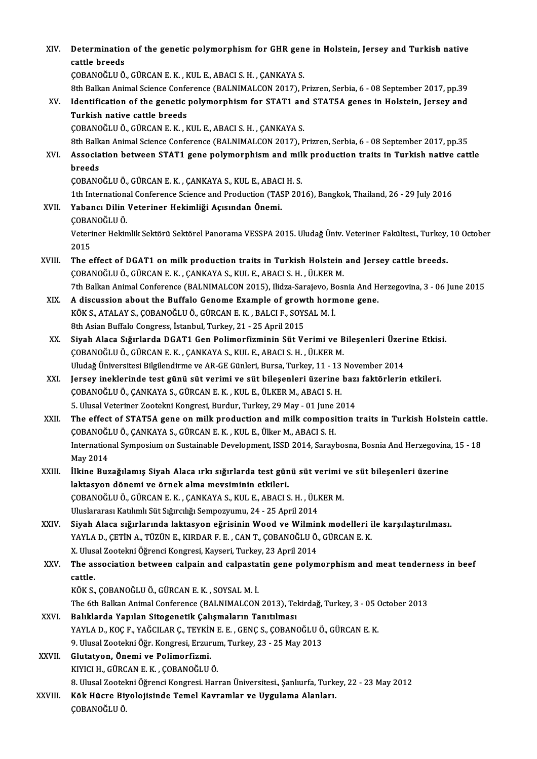| XIV.    | Determination of the genetic polymorphism for GHR gene in Holstein, Jersey and Turkish native<br>cattle breeds                                                       |
|---------|----------------------------------------------------------------------------------------------------------------------------------------------------------------------|
|         | ÇOBANOĞLU Ö., GÜRCAN E. K., KUL E., ABACI S. H., ÇANKAYA S.                                                                                                          |
|         | 8th Balkan Animal Science Conference (BALNIMALCON 2017), Prizren, Serbia, 6 - 08 September 2017, pp.39                                                               |
| XV.     | Identification of the genetic polymorphism for STAT1 and STAT5A genes in Holstein, Jersey and                                                                        |
|         | Turkish native cattle breeds                                                                                                                                         |
|         | ÇOBANOĞLU Ö., GÜRCAN E. K., KUL E., ABACI S. H., ÇANKAYA S.                                                                                                          |
|         | 8th Balkan Animal Science Conference (BALNIMALCON 2017), Prizren, Serbia, 6 - 08 September 2017, pp.35                                                               |
| XVI.    | Association between STAT1 gene polymorphism and milk production traits in Turkish native cattle                                                                      |
|         | breeds<br>ÇOBANOĞLU Ö., GÜRCAN E. K., ÇANKAYA S., KUL E., ABACI H. S.                                                                                                |
|         | 1th International Conference Science and Production (TASP 2016), Bangkok, Thailand, 26 - 29 July 2016                                                                |
| XVII.   | Yabancı Dilin Veteriner Hekimliği Açısından Önemi.                                                                                                                   |
|         | ÇOBANOĞLU Ö.                                                                                                                                                         |
|         | Veteriner Hekimlik Sektörü Sektörel Panorama VESSPA 2015. Uludağ Üniv. Veteriner Fakültesi., Turkey, 10 October                                                      |
|         | 2015                                                                                                                                                                 |
| XVIII.  | The effect of DGAT1 on milk production traits in Turkish Holstein and Jersey cattle breeds.<br>ÇOBANOĞLU Ö., GÜRCAN E. K., ÇANKAYA S., KUL E., ABACI S. H., ÜLKER M. |
|         | 7th Balkan Animal Conference (BALNIMALCON 2015), Ilidza-Sarajevo, Bosnia And Herzegovina, 3 - 06 June 2015                                                           |
| XIX.    | A discussion about the Buffalo Genome Example of growth hormone gene.                                                                                                |
|         | KÖK S., ATALAY S., ÇOBANOĞLU Ö., GÜRCAN E. K., BALCI F., SOYSAL M. İ.                                                                                                |
|         | 8th Asian Buffalo Congress, İstanbul, Turkey, 21 - 25 April 2015                                                                                                     |
| XX.     | Siyah Alaca Sığırlarda DGAT1 Gen Polimorfizminin Süt Verimi ve Bileşenleri Üzerine Etkisi.                                                                           |
|         | ÇOBANOĞLU Ö., GÜRCAN E. K., ÇANKAYA S., KUL E., ABACI S. H., ÜLKER M.                                                                                                |
|         | Uludağ Üniversitesi Bilgilendirme ve AR-GE Günleri, Bursa, Turkey, 11 - 13 November 2014                                                                             |
| XXI.    | Jersey ineklerinde test günü süt verimi ve süt bileşenleri üzerine bazı faktörlerin etkileri.                                                                        |
|         | ÇOBANOĞLU Ö., ÇANKAYA S., GÜRCAN E. K., KUL E., ÜLKER M., ABACI S. H.                                                                                                |
|         | 5. Ulusal Veteriner Zootekni Kongresi, Burdur, Turkey, 29 May - 01 June 2014                                                                                         |
| XXII.   | The effect of STAT5A gene on milk production and milk composition traits in Turkish Holstein cattle.                                                                 |
|         | ÇOBANOĞLU Ö., ÇANKAYA S., GÜRCAN E. K., KUL E., Ülker M., ABACI S. H.                                                                                                |
|         | International Symposium on Sustainable Development, ISSD 2014, Saraybosna, Bosnia And Herzegovina, 15 - 18<br>May 2014                                               |
| XXIII.  | İlkine Buzağılamış Siyah Alaca ırkı sığırlarda test günü süt verimi ve süt bileşenleri üzerine                                                                       |
|         | laktasyon dönemi ve örnek alma mevsiminin etkileri.                                                                                                                  |
|         | ÇOBANOĞLU Ö., GÜRCAN E. K., ÇANKAYA S., KUL E., ABACI S. H., ÜLKER M.                                                                                                |
|         | Uluslararası Katılımlı Süt Sığırcılığı Sempozyumu, 24 - 25 April 2014                                                                                                |
| XXIV.   | Siyah Alaca sığırlarında laktasyon eğrisinin Wood ve Wilmink modelleri ile karşılaştırılması.                                                                        |
|         | YAYLA D., ÇETİN A., TÜZÜN E., KIRDAR F. E., CAN T., ÇOBANOĞLU Ö., GÜRCAN E. K.                                                                                       |
|         | X. Ulusal Zootekni Öğrenci Kongresi, Kayseri, Turkey, 23 April 2014                                                                                                  |
| XXV.    | The association between calpain and calpastatin gene polymorphism and meat tenderness in beef                                                                        |
|         | cattle.                                                                                                                                                              |
|         | KÖK S., ÇOBANOĞLU Ö., GÜRCAN E. K., SOYSAL M. İ.                                                                                                                     |
|         | The 6th Balkan Animal Conference (BALNIMALCON 2013), Tekirdağ, Turkey, 3 - 05 October 2013                                                                           |
| XXVI.   | Balıklarda Yapılan Sitogenetik Çalışmaların Tanıtılması<br>YAYLA D., KOÇ F., YAĞCILAR Ç., TEYKİN E. E., GENÇ S., ÇOBANOĞLU Ö., GÜRCAN E. K.                          |
|         | 9. Ulusal Zootekni Öğr. Kongresi, Erzurum, Turkey, 23 - 25 May 2013                                                                                                  |
| XXVII.  | Glutatyon, Önemi ve Polimorfizmi.                                                                                                                                    |
|         | KIYICI H., GÜRCAN E. K., ÇOBANOĞLU Ö.                                                                                                                                |
|         | 8. Ulusal Zootekni Öğrenci Kongresi. Harran Üniversitesi., Şanlıurfa, Turkey, 22 - 23 May 2012                                                                       |
| XXVIII. | Kök Hücre Biyolojisinde Temel Kavramlar ve Uygulama Alanları.                                                                                                        |
|         | ÇOBANOĞLU Ö.                                                                                                                                                         |
|         |                                                                                                                                                                      |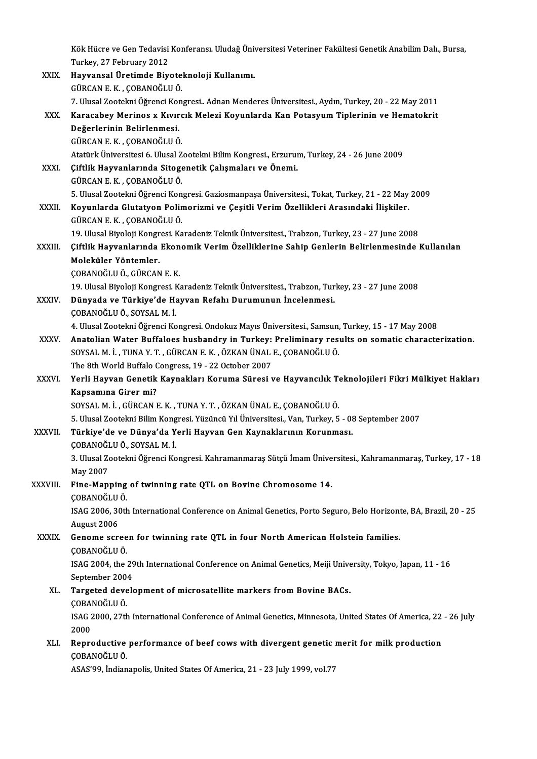Kök Hücre ve Gen Tedavisi Konferansı. Uludağ Üniversitesi Veteriner Fakültesi Genetik Anabilim Dalı., Bursa,<br>Turkay, 27 February 2012 Kök Hücre ve Gen Tedavisi<br>Turkey, 27 February 2012<br>Hawrangal Ünatimde Biv Kök Hücre ve Gen Tedavisi Konferansı. Uludağ Üni<br>Turkey, 27 February 2012<br>XXIX. Hayvansal Üretimde Biyoteknoloji Kullanımı.<br>CÜPCAN E K. CORANOČULÖ

Turkey, 27 February 2012<br>Hayvansal Üretimde Biyoteknoloji Kullanımı.<br>GÜRCAN E. K. , ÇOBANOĞLU Ö. 7. Ulusal Zootekni Öğrenci Kongresi.. Adnan Menderes Üniversitesi., Aydın, Turkey, 20 - 22 May 2011 GÜRCAN E. K. , ÇOBANOĞLU Ö.<br>7. Ulusal Zootekni Öğrenci Kongresi.. Adnan Menderes Üniversitesi., Aydın, Turkey, 20 - 22 May 2011<br>XXX. Karacabey Merinos x Kıvırcık Melezi Koyunlarda Kan Potasyum Tiplerinin ve Hematokrit<br> Değerlerinin Belirlenmesi.<br>GÜRCAN E.K., ÇOBANOĞLU Ö. Karacabey Merinos x Kıvırc<br>Değerlerinin Belirlenmesi.<br>GÜRCAN E. K. , ÇOBANOĞLUÖ.<br>Atatürk Üniversitesi 6 Hlusel Z AtatürkÜniversitesi6.UlusalZootekniBilimKongresi.,Erzurum,Turkey,24 -26 June 2009 GÜRCAN E. K. , ÇOBANOĞLU Ö.<br>Atatürk Üniversitesi 6. Ulusal Zootekni Bilim Kongresi., Erzurui<br>XXXI. Çiftlik Hayvanlarında Sitogenetik Çalışmaları ve Önemi.<br>CÜRCAN E.K... CORANOĞLU Ö. Atatürk Üniversitesi 6. Ulusal Z<br>Çiftlik Hayvanlarında Sitoge<br>GÜRCAN E. K. , ÇOBANOĞLU Ö.<br>E. Ulusal Zaatalmi Öğrensi Kan 5.UlusalZootekniÖğrenciKongresi.GaziosmanpaşaÜniversitesi.,Tokat,Turkey,21 -22May2009 XXXII. Koyunlarda Glutatyon Polimorizmi ve Çeşitli Verim Özellikleri Arasındaki İlişkiler. GÜRCANE.K. ,ÇOBANOĞLUÖ. Koyunlarda Glutatyon Polimorizmi ve Çeşitli Verim Özellikleri Arasındaki İlişkiler.<br>GÜRCAN E. K. , ÇOBANOĞLU Ö.<br>19. Ulusal Biyoloji Kongresi. Karadeniz Teknik Üniversitesi., Trabzon, Turkey, 23 - 27 June 2008<br>Giftlik Haywa GÜRCAN E. K. , ÇOBANOĞLU Ö.<br>19. Ulusal Biyoloji Kongresi. Karadeniz Teknik Üniversitesi., Trabzon, Turkey, 23 - 27 June 2008<br>19. Yürklik Hayvanlarında Ekonomik Verim Özelliklerine Sahip Genlerin Belirlenmesinde Kullanılan<br> 19. Ulusal Biyoloji Kongr<br>Çiftlik Hayvanlarında<br>Moleküler Yöntemler.<br>CORANOČULÖ CÜRCAN Çiftlik Hayvanlarında Ekon<br>Moleküler Yöntemler.<br>ÇOBANOĞLU Ö., GÜRCAN E. K.<br>10 Illucal Biyalaji Kansresi, K. Moleküler Yöntemler.<br>ÇOBANOĞLU Ö., GÜRCAN E. K.<br>19. Ulusal Biyoloji Kongresi. Karadeniz Teknik Üniversitesi., Trabzon, Turkey, 23 - 27 June 2008<br>Dünyada ve Türkiya'de Hayyan Befahı Dunumunun İnsalanmesi. ÇOBANOĞLU Ö., GÜRCAN E. K.<br>19. Ulusal Biyoloji Kongresi. Karadeniz Teknik Üniversitesi., Trabzon, Tur.<br>XXXIV. Dünyada ve Türkiye'de Hayvan Refahı Durumunun İncelenmesi.<br>COBANOĞLU Ö., SOYSAL M. İ. 19. Ulusal Biyoloji Kongresi. I<br>Dünyada ve Türkiye'de Ha<br>ÇOBANOĞLU Ö., SOYSAL M. İ.<br>4. Illusal Zaatalmi Öğrensi Ko 4.UlusalZootekniÖğrenciKongresi.OndokuzMayısÜniversitesi.,Samsun,Turkey,15 -17May2008 COBANOĞLU Ö., SOYSAL M. İ.<br>4. Ulusal Zootekni Öğrenci Kongresi. Ondokuz Mayıs Üniversitesi., Samsun, Turkey, 15 - 17 May 2008<br>XXXV. Anatolian Water Buffaloes husbandry in Turkey: Preliminary results on somatic characte 4. Ulusal Zootekni Öğrenci Kongresi. Ondokuz Mayıs Üniversitesi., Samsun,<br>Anatolian Water Buffaloes husbandry in Turkey: Preliminary res<br>SOYSAL M. İ. , TUNA Y. T. , GÜRCAN E. K. , ÖZKAN ÜNAL E., ÇOBANOĞLU Ö.<br>The 9th World Anatolian Water Buffaloes husbandry in Turkey:<br>SOYSAL M. İ., TUNA Y. T., GÜRCAN E. K., ÖZKAN ÜNAL<br>The 8th World Buffalo Congress, 19 - 22 October 2007<br>Verli Hawyan Conetik Kaynakları Karuma Süresi 1 SOYSAL M. İ. , TUNA Y. T. , GÜRCAN E. K. , ÖZKAN ÜNAL E., ÇOBANOĞLU Ö.<br>The 8th World Buffalo Congress, 19 - 22 October 2007<br>XXXVI. Yerli Hayvan Genetik Kaynakları Koruma Süresi ve Hayvancılık Teknolojileri Fikri Mülkiy The 8th World Buffalo Congress, 19 - 22 October 2007<br>Yerli Hayvan Genetik Kaynakları Koruma Süresi ve Hayvancılık To<br>Kapsamına Girer mi?<br>SOYSAL M. İ. , GÜRCAN E. K. , TUNA Y. T. , ÖZKAN ÜNAL E., ÇOBANOĞLU Ö. Yerli Hayvan Genetik Kaynakları Koruma Süresi ve Hayvancılık T<br>Kapsamına Girer mi?<br>SOYSAL M. İ. , GÜRCAN E. K. , TUNA Y. T. , ÖZKAN ÜNAL E., ÇOBANOĞLU Ö.<br>E. Ulusel Zoetelmi Bilim Kongresi Yügüneü Yıl Üniversitesi, Van Turk Kapsamına Girer mi?<br>SOYSAL M. İ. , GÜRCAN E. K. , TUNA Y. T. , ÖZKAN ÜNAL E., ÇOBANOĞLU Ö.<br>5. Ulusal Zootekni Bilim Kongresi. Yüzüncü Yıl Üniversitesi., Van, Turkey, 5 - 08 September 2007<br>Türkiye'de ve Dünye'de Yerli Hayya SOYSAL M. İ. , GÜRCAN E. K. , TUNA Y. T. , ÖZKAN ÜNAL E., ÇOBANOĞLU Ö.<br>5. Ulusal Zootekni Bilim Kongresi. Yüzüncü Yıl Üniversitesi., Van, Turkey, 5 - 08<br>XXXVII. Türkiye'de ve Dünya'da Yerli Hayvan Gen Kaynaklarının Kor 5. Ulusal Zootekni Bilim Kong<br><mark>Türkiye'de ve Dünya'da Y</mark><br>ÇOBANOĞLU Ö., SOYSAL M. İ.<br><sup>2. Hivsal Zastelmi Öğrengi Ko</sup> Türkiye'de ve Dünya'da Yerli Hayvan Gen Kaynaklarının Korunması.<br>ÇOBANOĞLU Ö., SOYSAL M. İ.<br>3. Ulusal Zootekni Öğrenci Kongresi. Kahramanmaraş Sütçü İmam Üniversitesi., Kahramanmaraş, Turkey, 17 - 18<br>May 2007 COBANOĞI<br>3. Ulusal Zo<br>May 2007<br>Eine Man 3. Ulusal Zootekni Öğrenci Kongresi. Kahramanmaraş Sütçü İmam Ünive<br>May 2007<br>XXXVIII. Fine-Mapping of twinning rate QTL on Bovine Chromosome 14. May 2007<br>Fine-Mapping<br>ÇOBANOĞLU Ö.<br>ISAC 2006-2011 Fine-Mapping of twinning rate QTL on Bovine Chromosome 14.<br>COBANOĞLU Ö.<br>ISAG 2006, 30th International Conference on Animal Genetics, Porto Seguro, Belo Horizonte, BA, Brazil, 20 - 25<br>August 2006 COBANOĞLU<br>ISAG 2006, 30<br>August 2006<br>Conomo ser ISAG 2006, 30th International Conference on Animal Genetics, Porto Seguro, Belo Horizont<br>August 2006<br>XXXIX. Genome screen for twinning rate QTL in four North American Holstein families. August 2006<br>Genome scree<br>ÇOBANOĞLU Ö.<br>ISAC 2004 the i Genome screen for twinning rate QTL in four North American Holstein families.<br>ÇOBANOĞLU Ö.<br>ISAG 2004, the 29th International Conference on Animal Genetics, Meiji University, Tokyo, Japan, 11 - 16<br>Sentember 2004 COBANOĞLU Ö.<br>ISAG 2004, the 29<br>September 2004<br>Tarsated devek ISAG 2004, the 29th International Conference on Animal Genetics, Meiji Unive<br>September 2004<br>XL. Targeted development of microsatellite markers from Bovine BACs.<br>CORANOČULÖ September 200<br>Targeted deve<br>ÇOBANOĞLU Ö.<br>ISAC 2000 27t ISAG 2000, 27th International Conference of Animal Genetics, Minnesota, United States Of America, 22 - 26 July<br>2000 ÇOBANOĞLU Ö XLI. Reproductive performance of beef cows with divergent geneticmerit for milk production ÇOBANOĞLUÖ. ASAS'99, İndianapolis, United States Of America, 21 - 23 July 1999, vol.77